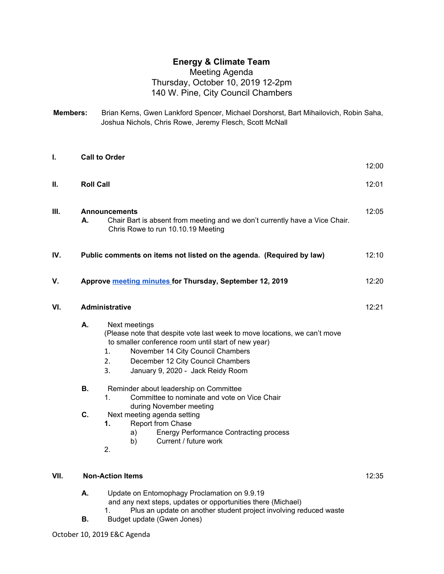## **Energy & Climate Team**

## Meeting Agenda Thursday, October 10, 2019 12-2pm 140 W. Pine, City Council Chambers

**Members:** Brian Kerns, Gwen Lankford Spencer, Michael Dorshorst, Bart Mihailovich, Robin Saha, Joshua Nichols, Chris Rowe, Jeremy Flesch, Scott McNall

| I.   | <b>Call to Order</b>                                                                                                                            |                                                                                                                                                                                                                                                                                    |  |  |  |  |
|------|-------------------------------------------------------------------------------------------------------------------------------------------------|------------------------------------------------------------------------------------------------------------------------------------------------------------------------------------------------------------------------------------------------------------------------------------|--|--|--|--|
| Ш.   | <b>Roll Call</b>                                                                                                                                |                                                                                                                                                                                                                                                                                    |  |  |  |  |
| III. | <b>Announcements</b><br>Chair Bart is absent from meeting and we don't currently have a Vice Chair.<br>А.<br>Chris Rowe to run 10.10.19 Meeting |                                                                                                                                                                                                                                                                                    |  |  |  |  |
| IV.  | Public comments on items not listed on the agenda. (Required by law)                                                                            |                                                                                                                                                                                                                                                                                    |  |  |  |  |
| V.   | Approve meeting minutes for Thursday, September 12, 2019                                                                                        |                                                                                                                                                                                                                                                                                    |  |  |  |  |
| VI.  | <b>Administrative</b>                                                                                                                           |                                                                                                                                                                                                                                                                                    |  |  |  |  |
|      | А.                                                                                                                                              | Next meetings<br>(Please note that despite vote last week to move locations, we can't move<br>to smaller conference room until start of new year)<br>November 14 City Council Chambers<br>1.<br>December 12 City Council Chambers<br>2.<br>3.<br>January 9, 2020 - Jack Reidy Room |  |  |  |  |
|      | <b>B.</b>                                                                                                                                       | Reminder about leadership on Committee<br>Committee to nominate and vote on Vice Chair<br>1 <sub>1</sub><br>during November meeting                                                                                                                                                |  |  |  |  |
|      | C.                                                                                                                                              | Next meeting agenda setting<br>1.<br>Report from Chase<br><b>Energy Performance Contracting process</b><br>a)<br>Current / future work<br>b)<br>2.                                                                                                                                 |  |  |  |  |
| VII. | <b>Non-Action Items</b>                                                                                                                         |                                                                                                                                                                                                                                                                                    |  |  |  |  |

| А. |  | Update on Entomophagy Proclamation on 9.9.19 |  |  |
|----|--|----------------------------------------------|--|--|
|    |  |                                              |  |  |

and any next steps, updates or opportunities there (Michael)

- 1. Plus an update on another student project involving reduced waste
- **B.** Budget update (Gwen Jones)